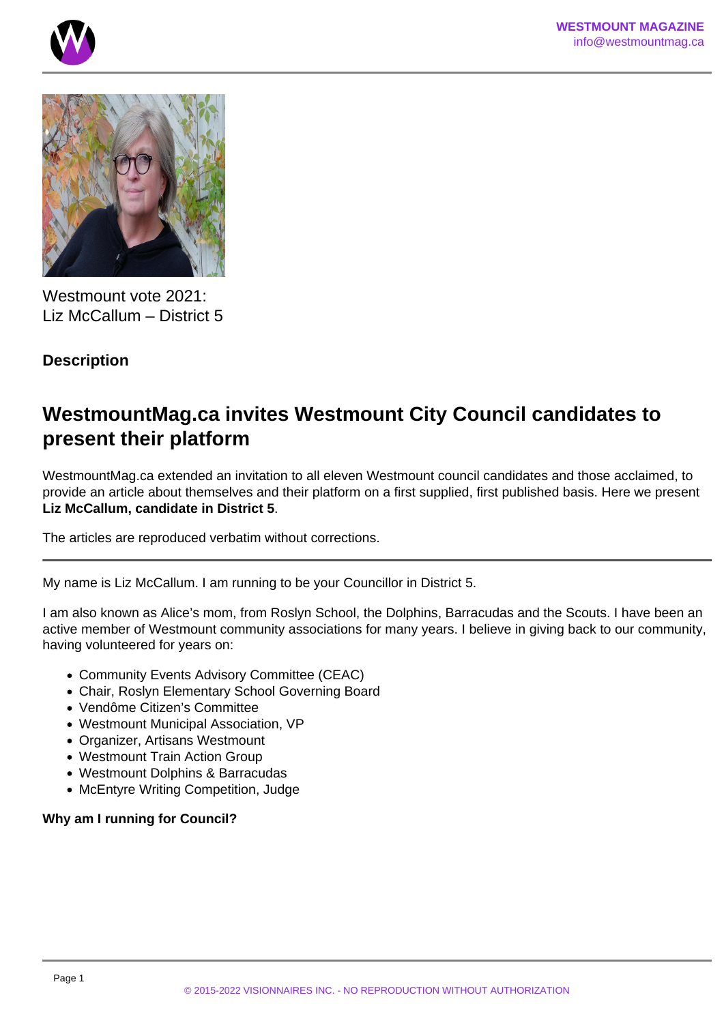



Westmount vote 2021: Liz McCallum – District 5

# **Description**

# **WestmountMag.ca invites Westmount City Council candidates to present their platform**

WestmountMag.ca extended an invitation to all eleven Westmount council candidates and those acclaimed, to provide an article about themselves and their platform on a first supplied, first published basis. Here we present **Liz McCallum, candidate in District 5**.

The articles are reproduced verbatim without corrections.

My name is Liz McCallum. I am running to be your Councillor in District 5.

I am also known as Alice's mom, from Roslyn School, the Dolphins, Barracudas and the Scouts. I have been an active member of Westmount community associations for many years. I believe in giving back to our community, having volunteered for years on:

- Community Events Advisory Committee (CEAC)
- Chair, Roslyn Elementary School Governing Board
- Vendôme Citizen's Committee
- Westmount Municipal Association, VP
- Organizer, Artisans Westmount
- Westmount Train Action Group
- Westmount Dolphins & Barracudas
- McEntyre Writing Competition, Judge

# **Why am I running for Council?**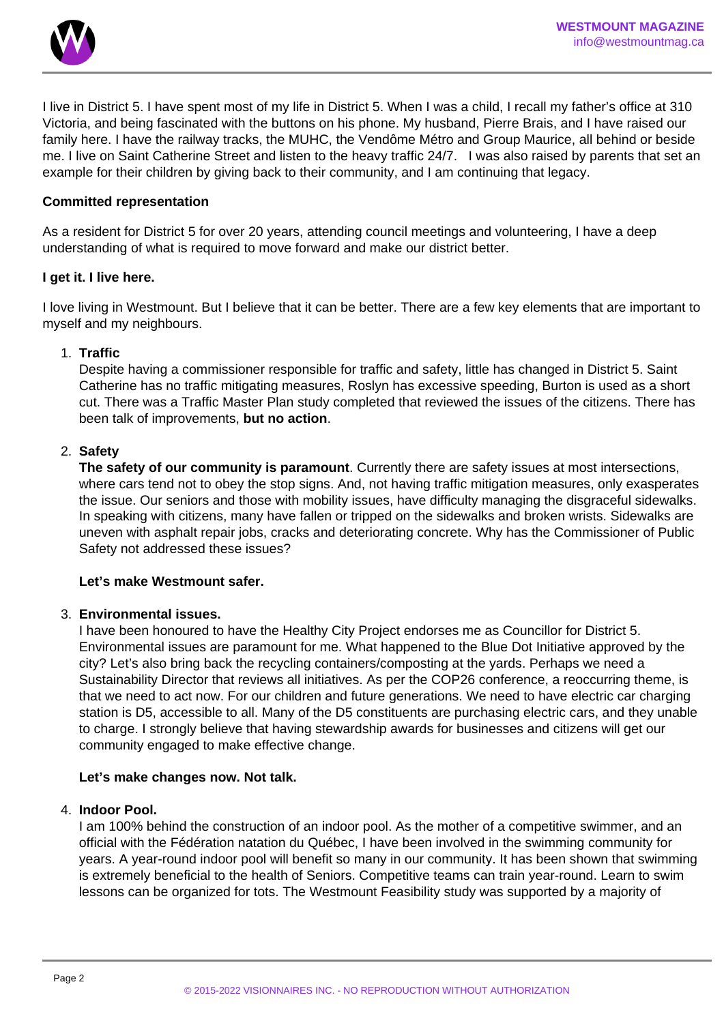

I live in District 5. I have spent most of my life in District 5. When I was a child, I recall my father's office at 310 Victoria, and being fascinated with the buttons on his phone. My husband, Pierre Brais, and I have raised our family here. I have the railway tracks, the MUHC, the Vendôme Métro and Group Maurice, all behind or beside me. I live on Saint Catherine Street and listen to the heavy traffic 24/7. I was also raised by parents that set an example for their children by giving back to their community, and I am continuing that legacy.

### **Committed representation**

As a resident for District 5 for over 20 years, attending council meetings and volunteering, I have a deep understanding of what is required to move forward and make our district better.

### **I get it. I live here.**

I love living in Westmount. But I believe that it can be better. There are a few key elements that are important to myself and my neighbours.

# 1. **Traffic**

Despite having a commissioner responsible for traffic and safety, little has changed in District 5. Saint Catherine has no traffic mitigating measures, Roslyn has excessive speeding, Burton is used as a short cut. There was a Traffic Master Plan study completed that reviewed the issues of the citizens. There has been talk of improvements, **but no action**.

### 2. **Safety**

**The safety of our community is paramount**. Currently there are safety issues at most intersections, where cars tend not to obey the stop signs. And, not having traffic mitigation measures, only exasperates the issue. Our seniors and those with mobility issues, have difficulty managing the disgraceful sidewalks. In speaking with citizens, many have fallen or tripped on the sidewalks and broken wrists. Sidewalks are uneven with asphalt repair jobs, cracks and deteriorating concrete. Why has the Commissioner of Public Safety not addressed these issues?

### **Let's make Westmount safer.**

#### 3. **Environmental issues.**

I have been honoured to have the Healthy City Project endorses me as Councillor for District 5. Environmental issues are paramount for me. What happened to the Blue Dot Initiative approved by the city? Let's also bring back the recycling containers/composting at the yards. Perhaps we need a Sustainability Director that reviews all initiatives. As per the COP26 conference, a reoccurring theme, is that we need to act now. For our children and future generations. We need to have electric car charging station is D5, accessible to all. Many of the D5 constituents are purchasing electric cars, and they unable to charge. I strongly believe that having stewardship awards for businesses and citizens will get our community engaged to make effective change.

#### **Let's make changes now. Not talk.**

#### 4. **Indoor Pool.**

I am 100% behind the construction of an indoor pool. As the mother of a competitive swimmer, and an official with the Fédération natation du Québec, I have been involved in the swimming community for years. A year-round indoor pool will benefit so many in our community. It has been shown that swimming is extremely beneficial to the health of Seniors. Competitive teams can train year-round. Learn to swim lessons can be organized for tots. The Westmount Feasibility study was supported by a majority of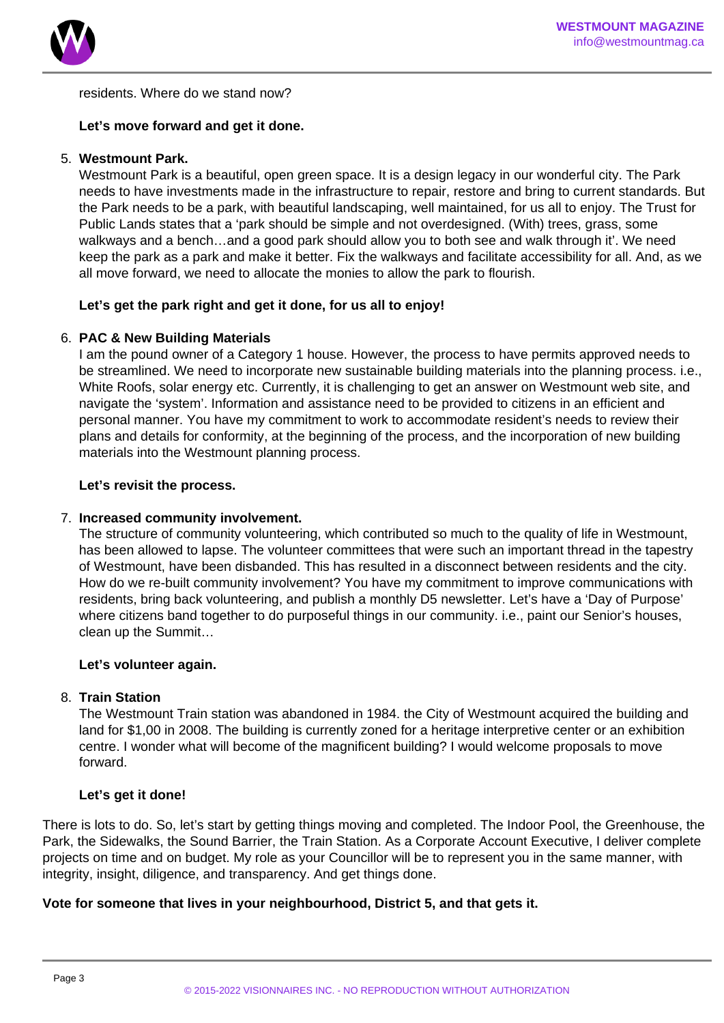

residents. Where do we stand now?

# **Let's move forward and get it done.**

# 5. **Westmount Park.**

Westmount Park is a beautiful, open green space. It is a design legacy in our wonderful city. The Park needs to have investments made in the infrastructure to repair, restore and bring to current standards. But the Park needs to be a park, with beautiful landscaping, well maintained, for us all to enjoy. The Trust for Public Lands states that a 'park should be simple and not overdesigned. (With) trees, grass, some walkways and a bench…and a good park should allow you to both see and walk through it'. We need keep the park as a park and make it better. Fix the walkways and facilitate accessibility for all. And, as we all move forward, we need to allocate the monies to allow the park to flourish.

# **Let's get the park right and get it done, for us all to enjoy!**

### 6. **PAC & New Building Materials**

I am the pound owner of a Category 1 house. However, the process to have permits approved needs to be streamlined. We need to incorporate new sustainable building materials into the planning process. i.e., White Roofs, solar energy etc. Currently, it is challenging to get an answer on Westmount web site, and navigate the 'system'. Information and assistance need to be provided to citizens in an efficient and personal manner. You have my commitment to work to accommodate resident's needs to review their plans and details for conformity, at the beginning of the process, and the incorporation of new building materials into the Westmount planning process.

### **Let's revisit the process.**

#### 7. **Increased community involvement.**

The structure of community volunteering, which contributed so much to the quality of life in Westmount, has been allowed to lapse. The volunteer committees that were such an important thread in the tapestry of Westmount, have been disbanded. This has resulted in a disconnect between residents and the city. How do we re-built community involvement? You have my commitment to improve communications with residents, bring back volunteering, and publish a monthly D5 newsletter. Let's have a 'Day of Purpose' where citizens band together to do purposeful things in our community. i.e., paint our Senior's houses, clean up the Summit…

# **Let's volunteer again.**

#### 8. **Train Station**

The Westmount Train station was abandoned in 1984. the City of Westmount acquired the building and land for \$1,00 in 2008. The building is currently zoned for a heritage interpretive center or an exhibition centre. I wonder what will become of the magnificent building? I would welcome proposals to move forward.

# **Let's get it done!**

There is lots to do. So, let's start by getting things moving and completed. The Indoor Pool, the Greenhouse, the Park, the Sidewalks, the Sound Barrier, the Train Station. As a Corporate Account Executive, I deliver complete projects on time and on budget. My role as your Councillor will be to represent you in the same manner, with integrity, insight, diligence, and transparency. And get things done.

# **Vote for someone that lives in your neighbourhood, District 5, and that gets it.**